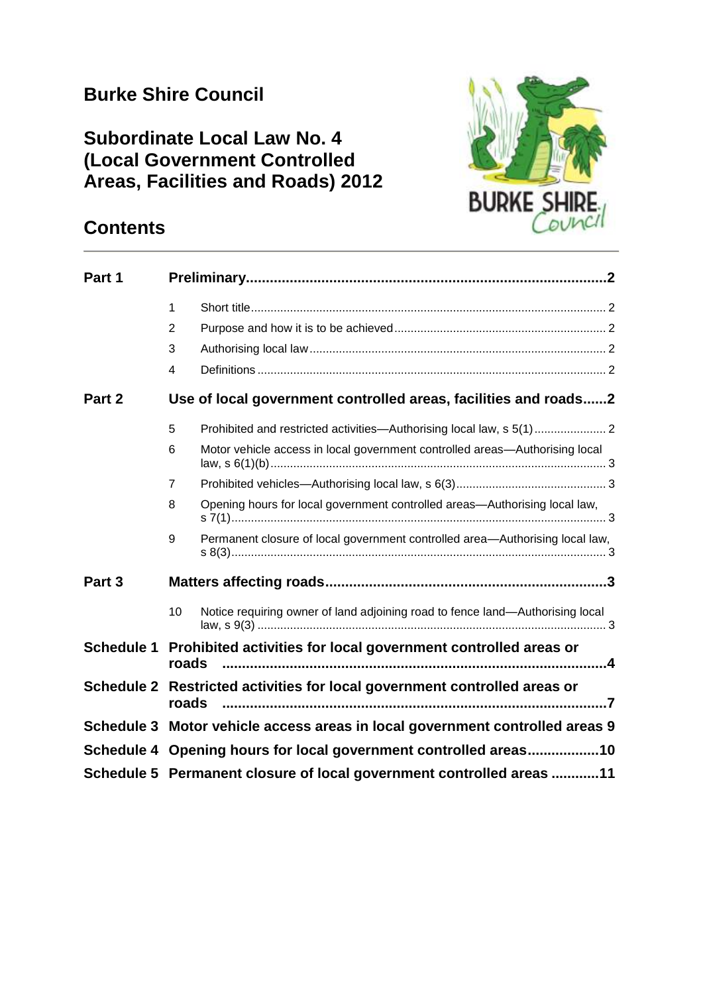# **Burke Shire Council**

## **Subordinate Local Law No. 4 (Local Government Controlled Areas, Facilities and Roads) 2012**



## **Contents**

| Part 1            |                                                                              |                                                                               |  |
|-------------------|------------------------------------------------------------------------------|-------------------------------------------------------------------------------|--|
|                   | $\mathbf{1}$                                                                 |                                                                               |  |
|                   | $\overline{2}$                                                               |                                                                               |  |
|                   | 3                                                                            |                                                                               |  |
|                   | 4                                                                            |                                                                               |  |
| Part 2            |                                                                              | Use of local government controlled areas, facilities and roads2               |  |
|                   | 5                                                                            |                                                                               |  |
|                   | 6                                                                            | Motor vehicle access in local government controlled areas—Authorising local   |  |
|                   | $\overline{7}$                                                               |                                                                               |  |
|                   | 8                                                                            | Opening hours for local government controlled areas-Authorising local law,    |  |
|                   | 9                                                                            | Permanent closure of local government controlled area-Authorising local law,  |  |
| Part <sub>3</sub> |                                                                              |                                                                               |  |
|                   | 10                                                                           | Notice requiring owner of land adjoining road to fence land-Authorising local |  |
| <b>Schedule 1</b> | roads                                                                        | Prohibited activities for local government controlled areas or                |  |
| <b>Schedule 2</b> | Restricted activities for local government controlled areas or<br>roads      |                                                                               |  |
|                   | Schedule 3 Motor vehicle access areas in local government controlled areas 9 |                                                                               |  |
| <b>Schedule 4</b> | Opening hours for local government controlled areas10                        |                                                                               |  |
|                   | Schedule 5 Permanent closure of local government controlled areas 11         |                                                                               |  |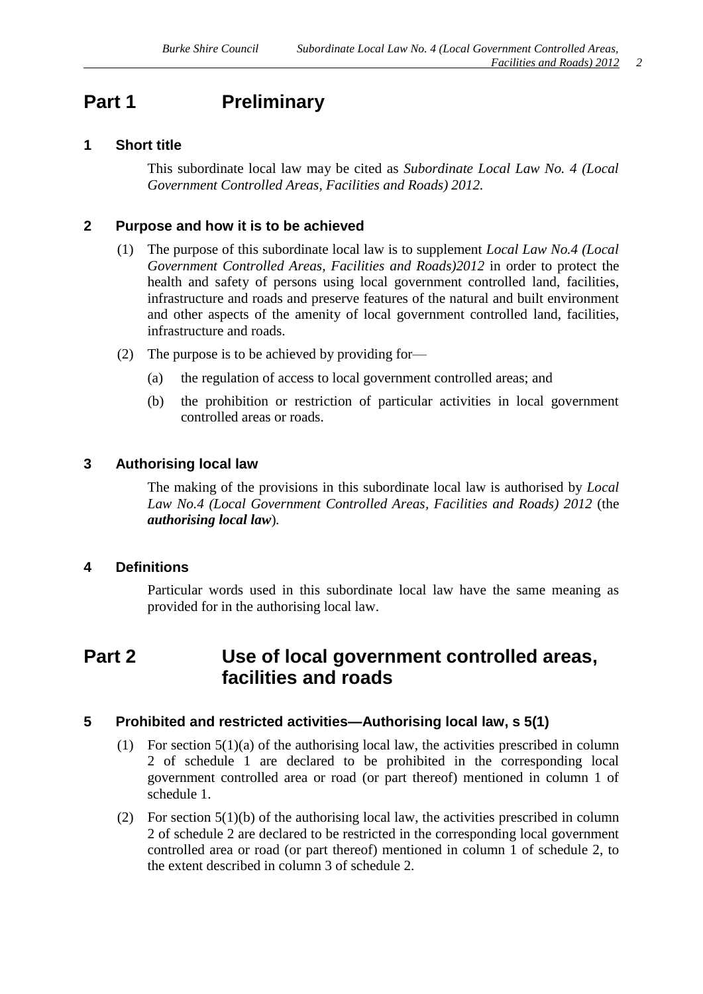## <span id="page-1-0"></span>**Part 1 Preliminary**

#### <span id="page-1-1"></span>**1 Short title**

This subordinate local law may be cited as *Subordinate Local Law No. 4 (Local Government Controlled Areas, Facilities and Roads) 2012.*

#### <span id="page-1-2"></span>**2 Purpose and how it is to be achieved**

- (1) The purpose of this subordinate local law is to supplement *Local Law No.4 (Local Government Controlled Areas, Facilities and Roads)2012* in order to protect the health and safety of persons using local government controlled land, facilities, infrastructure and roads and preserve features of the natural and built environment and other aspects of the amenity of local government controlled land, facilities, infrastructure and roads.
- (2) The purpose is to be achieved by providing for—
	- (a) the regulation of access to local government controlled areas; and
	- (b) the prohibition or restriction of particular activities in local government controlled areas or roads.

#### <span id="page-1-3"></span>**3 Authorising local law**

The making of the provisions in this subordinate local law is authorised by *Local Law No.4 (Local Government Controlled Areas, Facilities and Roads) 2012* (the *authorising local law*)*.*

### <span id="page-1-4"></span>**4 Definitions**

Particular words used in this subordinate local law have the same meaning as provided for in the authorising local law.

## <span id="page-1-5"></span>**Part 2 Use of local government controlled areas, facilities and roads**

#### <span id="page-1-6"></span>**5 Prohibited and restricted activities—Authorising local law, s 5(1)**

- (1) For section  $5(1)(a)$  of the authorising local law, the activities prescribed in column 2 of schedule 1 are declared to be prohibited in the corresponding local government controlled area or road (or part thereof) mentioned in column 1 of schedule 1.
- (2) For section  $5(1)(b)$  of the authorising local law, the activities prescribed in column 2 of schedule 2 are declared to be restricted in the corresponding local government controlled area or road (or part thereof) mentioned in column 1 of schedule 2, to the extent described in column 3 of schedule 2.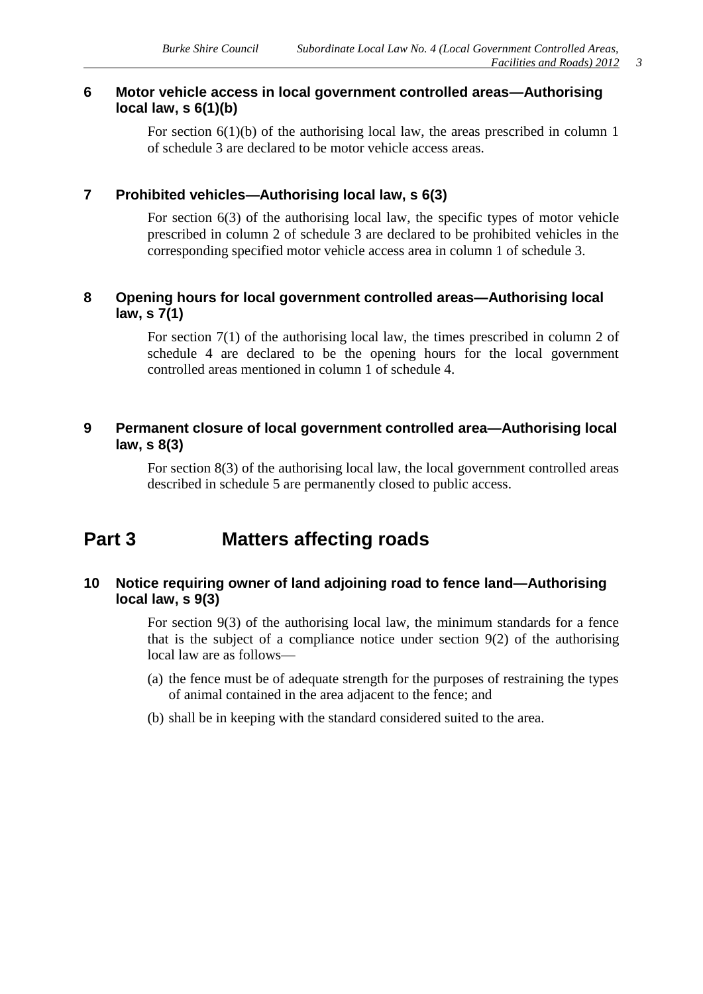### <span id="page-2-0"></span>**6 Motor vehicle access in local government controlled areas—Authorising local law, s 6(1)(b)**

For section 6(1)(b) of the authorising local law, the areas prescribed in column 1 of schedule 3 are declared to be motor vehicle access areas.

### <span id="page-2-1"></span>**7 Prohibited vehicles—Authorising local law, s 6(3)**

For section 6(3) of the authorising local law, the specific types of motor vehicle prescribed in column 2 of schedule 3 are declared to be prohibited vehicles in the corresponding specified motor vehicle access area in column 1 of schedule 3.

### <span id="page-2-2"></span>**8 Opening hours for local government controlled areas—Authorising local law, s 7(1)**

For section 7(1) of the authorising local law, the times prescribed in column 2 of schedule 4 are declared to be the opening hours for the local government controlled areas mentioned in column 1 of schedule 4.

### <span id="page-2-3"></span>**9 Permanent closure of local government controlled area—Authorising local law, s 8(3)**

For section 8(3) of the authorising local law, the local government controlled areas described in schedule 5 are permanently closed to public access.

## <span id="page-2-4"></span>**Part 3 Matters affecting roads**

### <span id="page-2-5"></span>**10 Notice requiring owner of land adjoining road to fence land—Authorising local law, s 9(3)**

For section 9(3) of the authorising local law, the minimum standards for a fence that is the subject of a compliance notice under section 9(2) of the authorising local law are as follows—

- (a) the fence must be of adequate strength for the purposes of restraining the types of animal contained in the area adjacent to the fence; and
- (b) shall be in keeping with the standard considered suited to the area.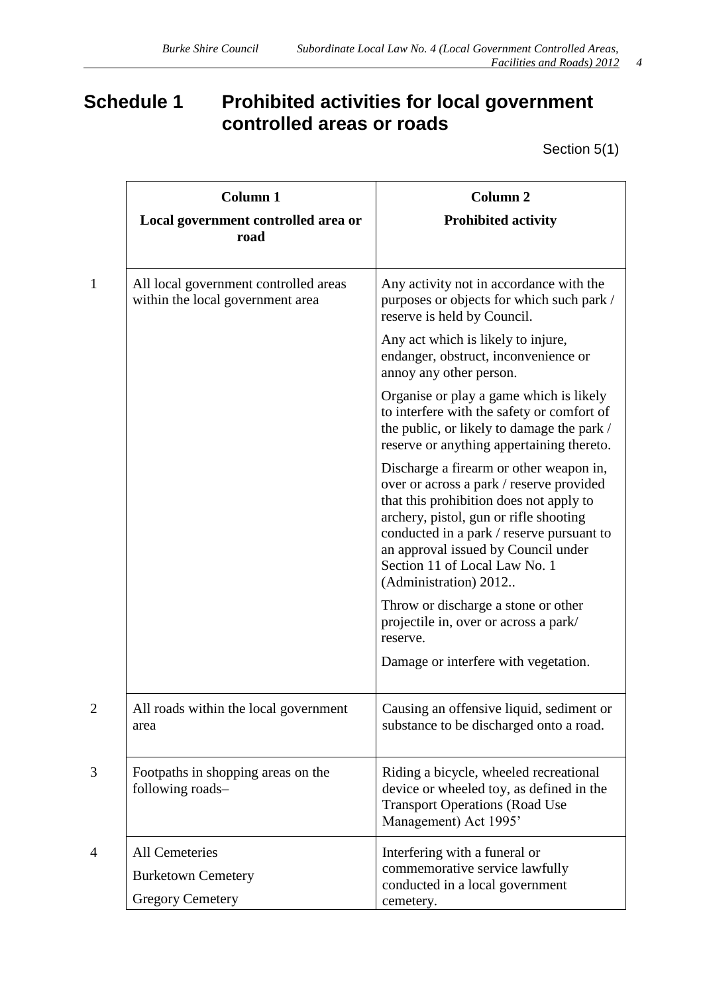# <span id="page-3-0"></span>**Schedule 1 Prohibited activities for local government controlled areas or roads**

Section 5(1)

|                | <b>Column 1</b><br>Local government controlled area or<br>road                | <b>Column 2</b><br><b>Prohibited activity</b>                                                                                                                                                                                                                                                                          |
|----------------|-------------------------------------------------------------------------------|------------------------------------------------------------------------------------------------------------------------------------------------------------------------------------------------------------------------------------------------------------------------------------------------------------------------|
| $\mathbf{1}$   | All local government controlled areas<br>within the local government area     | Any activity not in accordance with the<br>purposes or objects for which such park /<br>reserve is held by Council.                                                                                                                                                                                                    |
|                |                                                                               | Any act which is likely to injure,<br>endanger, obstruct, inconvenience or<br>annoy any other person.                                                                                                                                                                                                                  |
|                |                                                                               | Organise or play a game which is likely<br>to interfere with the safety or comfort of<br>the public, or likely to damage the park /<br>reserve or anything appertaining thereto.                                                                                                                                       |
|                |                                                                               | Discharge a firearm or other weapon in,<br>over or across a park / reserve provided<br>that this prohibition does not apply to<br>archery, pistol, gun or rifle shooting<br>conducted in a park / reserve pursuant to<br>an approval issued by Council under<br>Section 11 of Local Law No. 1<br>(Administration) 2012 |
|                |                                                                               | Throw or discharge a stone or other<br>projectile in, over or across a park/<br>reserve.                                                                                                                                                                                                                               |
|                |                                                                               | Damage or interfere with vegetation.                                                                                                                                                                                                                                                                                   |
| $\overline{2}$ | All roads within the local government<br>area                                 | Causing an offensive liquid, sediment or<br>substance to be discharged onto a road.                                                                                                                                                                                                                                    |
| 3              | Footpaths in shopping areas on the<br>following roads-                        | Riding a bicycle, wheeled recreational<br>device or wheeled toy, as defined in the<br><b>Transport Operations (Road Use</b><br>Management) Act 1995'                                                                                                                                                                   |
| 4              | <b>All Cemeteries</b><br><b>Burketown Cemetery</b><br><b>Gregory Cemetery</b> | Interfering with a funeral or<br>commemorative service lawfully<br>conducted in a local government<br>cemetery.                                                                                                                                                                                                        |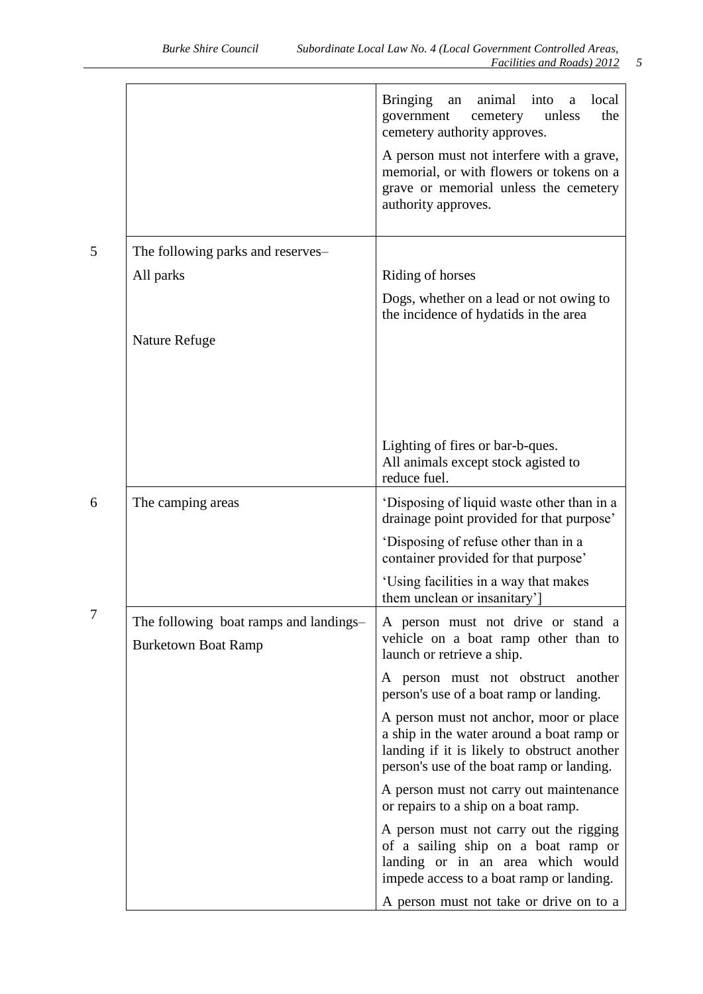|                                                                      | <b>Bringing</b><br>animal<br>into<br>local<br>an<br>a<br>unless<br>the<br>government<br>cemetery<br>cemetery authority approves.                                                 |
|----------------------------------------------------------------------|----------------------------------------------------------------------------------------------------------------------------------------------------------------------------------|
|                                                                      | A person must not interfere with a grave,<br>memorial, or with flowers or tokens on a<br>grave or memorial unless the cemetery<br>authority approves.                            |
| The following parks and reserves-                                    |                                                                                                                                                                                  |
| All parks                                                            | Riding of horses                                                                                                                                                                 |
|                                                                      | Dogs, whether on a lead or not owing to<br>the incidence of hydatids in the area                                                                                                 |
| Nature Refuge                                                        |                                                                                                                                                                                  |
|                                                                      |                                                                                                                                                                                  |
|                                                                      |                                                                                                                                                                                  |
|                                                                      | Lighting of fires or bar-b-ques.<br>All animals except stock agisted to<br>reduce fuel.                                                                                          |
| The camping areas                                                    | 'Disposing of liquid waste other than in a<br>drainage point provided for that purpose'                                                                                          |
|                                                                      | 'Disposing of refuse other than in a<br>container provided for that purpose'                                                                                                     |
|                                                                      | 'Using facilities in a way that makes<br>them unclean or insanitary']                                                                                                            |
| The following boat ramps and landings-<br><b>Burketown Boat Ramp</b> | A person must not drive or stand a<br>vehicle on a boat ramp other than to<br>launch or retrieve a ship.                                                                         |
|                                                                      | A person must not obstruct another<br>person's use of a boat ramp or landing.                                                                                                    |
|                                                                      | A person must not anchor, moor or place<br>a ship in the water around a boat ramp or<br>landing if it is likely to obstruct another<br>person's use of the boat ramp or landing. |
|                                                                      | A person must not carry out maintenance<br>or repairs to a ship on a boat ramp.                                                                                                  |
|                                                                      | A person must not carry out the rigging<br>of a sailing ship on a boat ramp or<br>landing or in an area which would<br>impede access to a boat ramp or landing.                  |
|                                                                      | A person must not take or drive on to a                                                                                                                                          |

7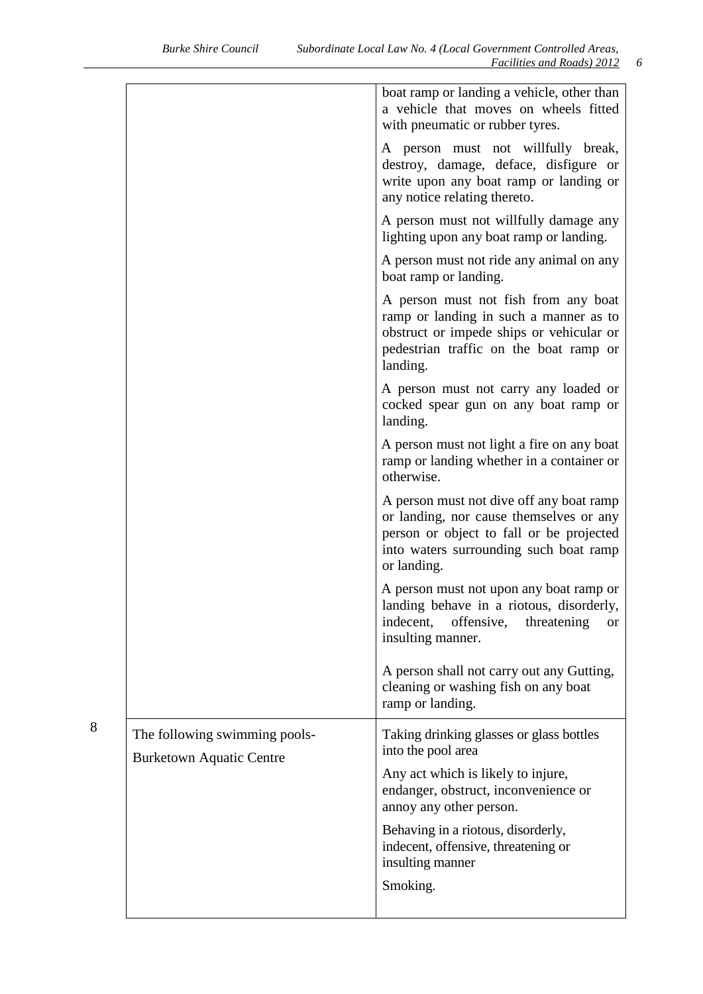|                                                                  | boat ramp or landing a vehicle, other than<br>a vehicle that moves on wheels fitted<br>with pneumatic or rubber tyres.                                                                   |
|------------------------------------------------------------------|------------------------------------------------------------------------------------------------------------------------------------------------------------------------------------------|
|                                                                  | A person must not willfully break,<br>destroy, damage, deface, disfigure or<br>write upon any boat ramp or landing or<br>any notice relating thereto.                                    |
|                                                                  | A person must not willfully damage any<br>lighting upon any boat ramp or landing.                                                                                                        |
|                                                                  | A person must not ride any animal on any<br>boat ramp or landing.                                                                                                                        |
|                                                                  | A person must not fish from any boat<br>ramp or landing in such a manner as to<br>obstruct or impede ships or vehicular or<br>pedestrian traffic on the boat ramp or<br>landing.         |
|                                                                  | A person must not carry any loaded or<br>cocked spear gun on any boat ramp or<br>landing.                                                                                                |
|                                                                  | A person must not light a fire on any boat<br>ramp or landing whether in a container or<br>otherwise.                                                                                    |
|                                                                  | A person must not dive off any boat ramp<br>or landing, nor cause themselves or any<br>person or object to fall or be projected<br>into waters surrounding such boat ramp<br>or landing. |
|                                                                  | A person must not upon any boat ramp or<br>landing behave in a riotous, disorderly,<br>offensive,<br>indecent,<br>threatening<br>or<br>insulting manner.                                 |
|                                                                  | A person shall not carry out any Gutting,<br>cleaning or washing fish on any boat<br>ramp or landing.                                                                                    |
| The following swimming pools-<br><b>Burketown Aquatic Centre</b> | Taking drinking glasses or glass bottles<br>into the pool area                                                                                                                           |
|                                                                  | Any act which is likely to injure,<br>endanger, obstruct, inconvenience or<br>annoy any other person.                                                                                    |
|                                                                  | Behaving in a riotous, disorderly,<br>indecent, offensive, threatening or<br>insulting manner                                                                                            |
|                                                                  | Smoking.                                                                                                                                                                                 |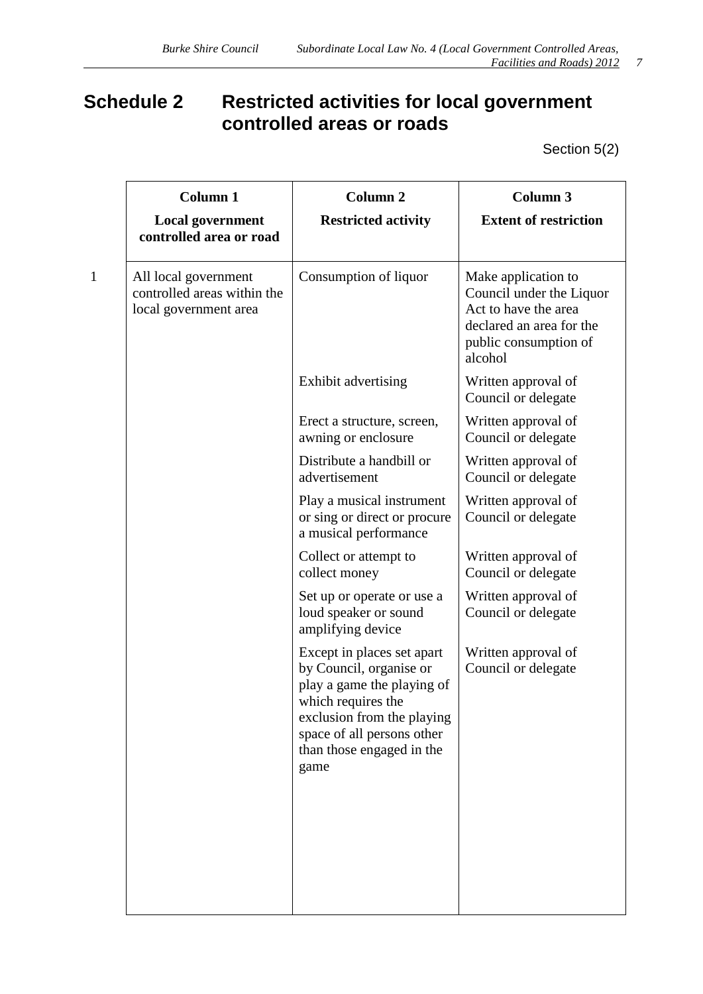# <span id="page-6-0"></span>**Schedule 2 Restricted activities for local government controlled areas or roads**

Section 5(2)

|              | <b>Column 1</b><br><b>Local government</b><br>controlled area or road        | <b>Column 2</b><br><b>Restricted activity</b>                                                                                                                                                              | <b>Column 3</b><br><b>Extent of restriction</b>                                                                                         |
|--------------|------------------------------------------------------------------------------|------------------------------------------------------------------------------------------------------------------------------------------------------------------------------------------------------------|-----------------------------------------------------------------------------------------------------------------------------------------|
| $\mathbf{1}$ | All local government<br>controlled areas within the<br>local government area | Consumption of liquor                                                                                                                                                                                      | Make application to<br>Council under the Liquor<br>Act to have the area<br>declared an area for the<br>public consumption of<br>alcohol |
|              |                                                                              | Exhibit advertising                                                                                                                                                                                        | Written approval of<br>Council or delegate                                                                                              |
|              |                                                                              | Erect a structure, screen,<br>awning or enclosure                                                                                                                                                          | Written approval of<br>Council or delegate                                                                                              |
|              |                                                                              | Distribute a handbill or<br>advertisement                                                                                                                                                                  | Written approval of<br>Council or delegate                                                                                              |
|              |                                                                              | Play a musical instrument<br>or sing or direct or procure<br>a musical performance                                                                                                                         | Written approval of<br>Council or delegate                                                                                              |
|              |                                                                              | Collect or attempt to<br>collect money                                                                                                                                                                     | Written approval of<br>Council or delegate                                                                                              |
|              |                                                                              | Set up or operate or use a<br>loud speaker or sound<br>amplifying device                                                                                                                                   | Written approval of<br>Council or delegate                                                                                              |
|              |                                                                              | Except in places set apart<br>by Council, organise or<br>play a game the playing of<br>which requires the<br>exclusion from the playing<br>space of all persons other<br>than those engaged in the<br>game | Written approval of<br>Council or delegate                                                                                              |
|              |                                                                              |                                                                                                                                                                                                            |                                                                                                                                         |
|              |                                                                              |                                                                                                                                                                                                            |                                                                                                                                         |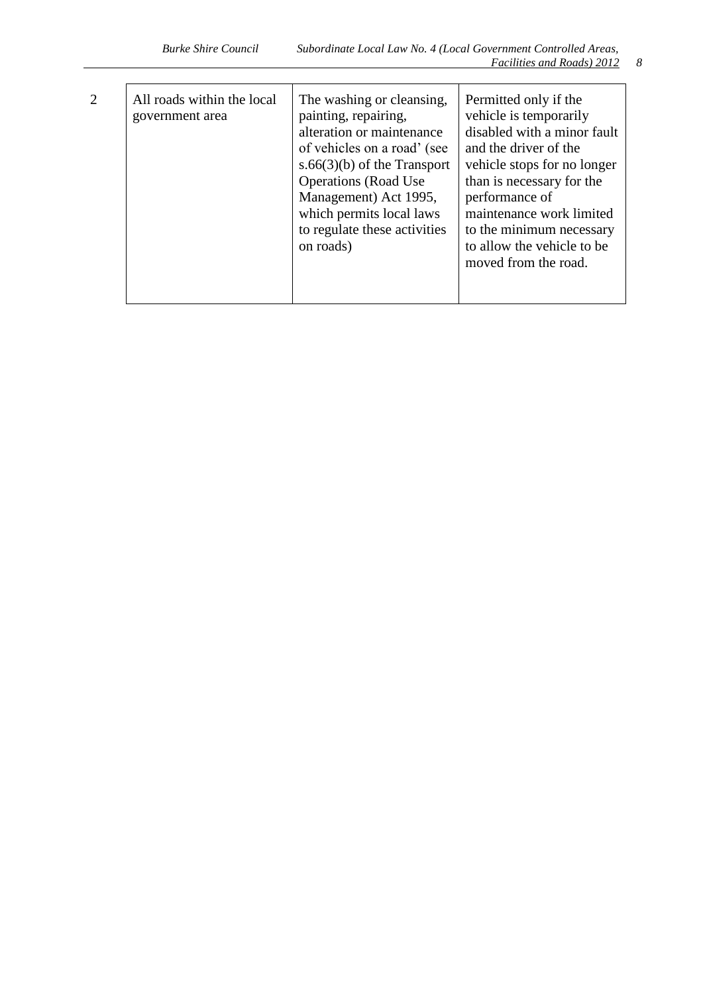| 2<br>All roads within the local<br>The washing or cleansing,<br>Permitted only if the<br>painting, repairing,<br>government area<br>alteration or maintenance<br>of vehicles on a road' (see<br>s.66 $(3)(b)$ of the Transport<br><b>Operations</b> (Road Use<br>Management) Act 1995,<br>performance of<br>which permits local laws<br>to regulate these activities<br>on roads) | vehicle is temporarily<br>disabled with a minor fault<br>and the driver of the<br>vehicle stops for no longer<br>than is necessary for the<br>maintenance work limited<br>to the minimum necessary<br>to allow the vehicle to be<br>moved from the road. |
|-----------------------------------------------------------------------------------------------------------------------------------------------------------------------------------------------------------------------------------------------------------------------------------------------------------------------------------------------------------------------------------|----------------------------------------------------------------------------------------------------------------------------------------------------------------------------------------------------------------------------------------------------------|
|-----------------------------------------------------------------------------------------------------------------------------------------------------------------------------------------------------------------------------------------------------------------------------------------------------------------------------------------------------------------------------------|----------------------------------------------------------------------------------------------------------------------------------------------------------------------------------------------------------------------------------------------------------|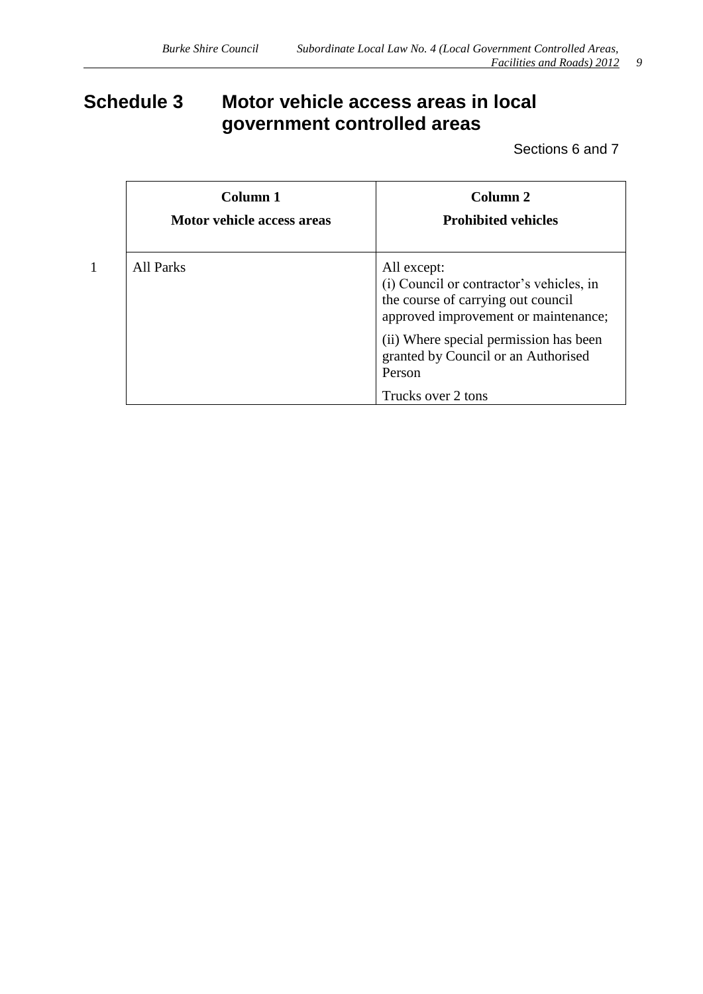# <span id="page-8-0"></span>**Schedule 3 Motor vehicle access areas in local government controlled areas**

Sections 6 and 7

| Column 1<br>Motor vehicle access areas | Column 2<br><b>Prohibited vehicles</b>                                                                                                |
|----------------------------------------|---------------------------------------------------------------------------------------------------------------------------------------|
| All Parks                              | All except:<br>(i) Council or contractor's vehicles, in<br>the course of carrying out council<br>approved improvement or maintenance; |
|                                        | (ii) Where special permission has been<br>granted by Council or an Authorised<br>Person                                               |
|                                        | Trucks over 2 tons                                                                                                                    |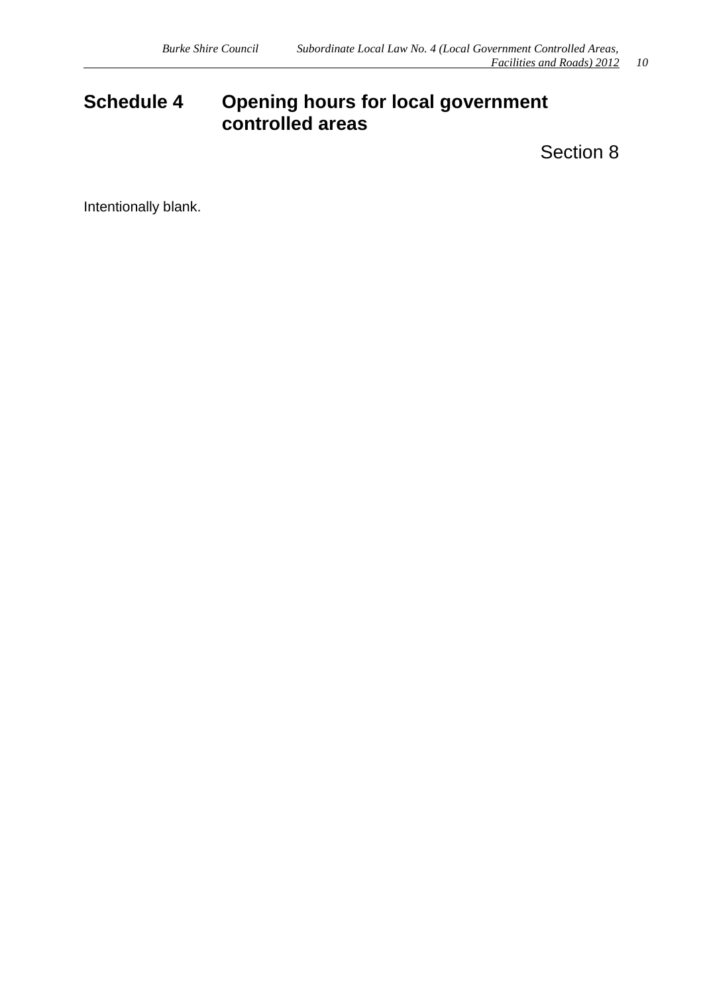# <span id="page-9-0"></span>**Schedule 4 Opening hours for local government controlled areas**

Section 8

Intentionally blank.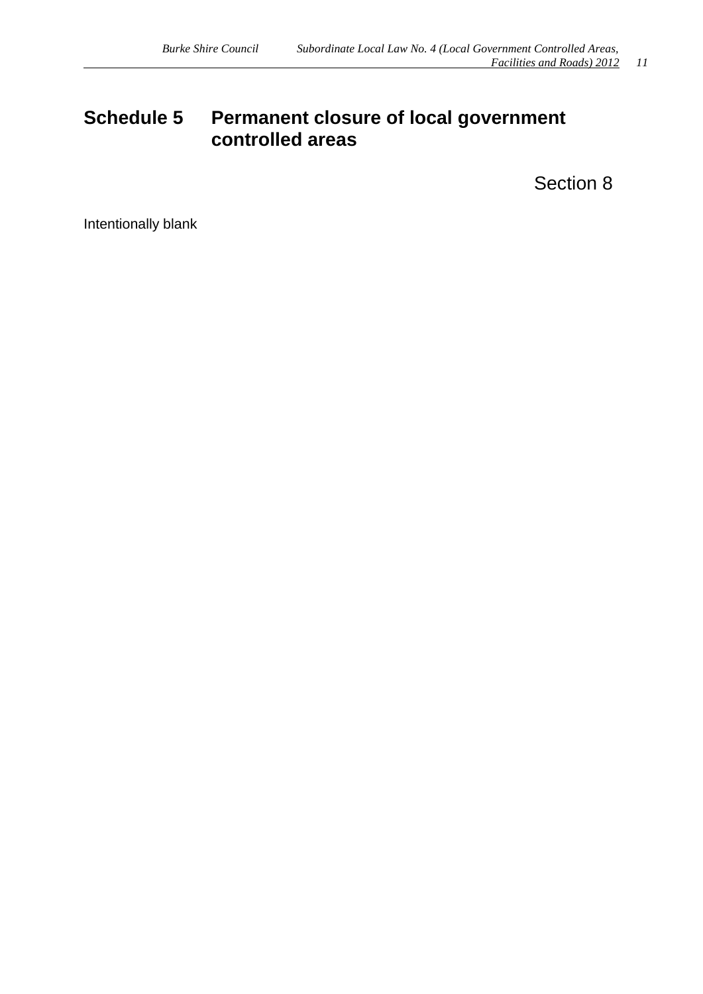## <span id="page-10-0"></span>**Schedule 5 Permanent closure of local government controlled areas**

Section 8

Intentionally blank